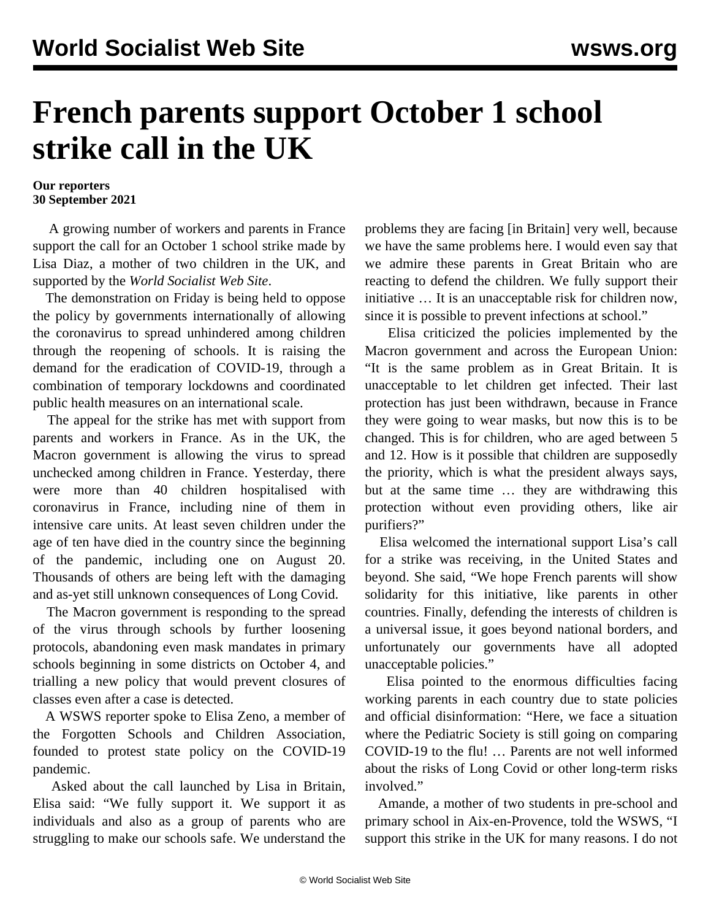## **French parents support October 1 school strike call in the UK**

## **Our reporters 30 September 2021**

 A growing number of workers and parents in France support the call for an October 1 school strike made by Lisa Diaz, a mother of two children in the UK, and supported by the *World Socialist Web Site*.

 The demonstration on Friday is being held to oppose the policy by governments internationally of allowing the coronavirus to spread unhindered among children through the reopening of schools. It is raising the demand for the eradication of COVID-19, through a combination of temporary lockdowns and coordinated public health measures on an international scale.

 The appeal for the strike has met with support from parents and workers in France. As in the UK, the Macron government is allowing the virus to spread unchecked among children in France. Yesterday, there were more than 40 children hospitalised with coronavirus in France, including nine of them in intensive care units. At least seven children under the age of ten have died in the country since the beginning of the pandemic, including one on August 20. Thousands of others are being left with the damaging and as-yet still unknown consequences of Long Covid.

 The Macron government is responding to the spread of the virus through schools by further loosening protocols, abandoning even mask mandates in primary schools beginning in some districts on October 4, and trialling a new policy that would prevent closures of classes even after a case is detected.

 A WSWS reporter spoke to Elisa Zeno, a member of the Forgotten Schools and Children Association, founded to protest state policy on the COVID-19 pandemic.

 Asked about the call launched by Lisa in Britain, Elisa said: "We fully support it. We support it as individuals and also as a group of parents who are struggling to make our schools safe. We understand the problems they are facing [in Britain] very well, because we have the same problems here. I would even say that we admire these parents in Great Britain who are reacting to defend the children. We fully support their initiative … It is an unacceptable risk for children now, since it is possible to prevent infections at school."

 Elisa criticized the policies implemented by the Macron government and across the European Union: "It is the same problem as in Great Britain. It is unacceptable to let children get infected. Their last protection has just been withdrawn, because in France they were going to wear masks, but now this is to be changed. This is for children, who are aged between 5 and 12. How is it possible that children are supposedly the priority, which is what the president always says, but at the same time … they are withdrawing this protection without even providing others, like air purifiers?"

 Elisa welcomed the international support Lisa's call for a strike was receiving, in the United States and beyond. She said, "We hope French parents will show solidarity for this initiative, like parents in other countries. Finally, defending the interests of children is a universal issue, it goes beyond national borders, and unfortunately our governments have all adopted unacceptable policies."

 Elisa pointed to the enormous difficulties facing working parents in each country due to state policies and official disinformation: "Here, we face a situation where the Pediatric Society is still going on comparing COVID-19 to the flu! … Parents are not well informed about the risks of Long Covid or other long-term risks involved."

 Amande, a mother of two students in pre-school and primary school in Aix-en-Provence, told the WSWS, "I support this strike in the UK for many reasons. I do not